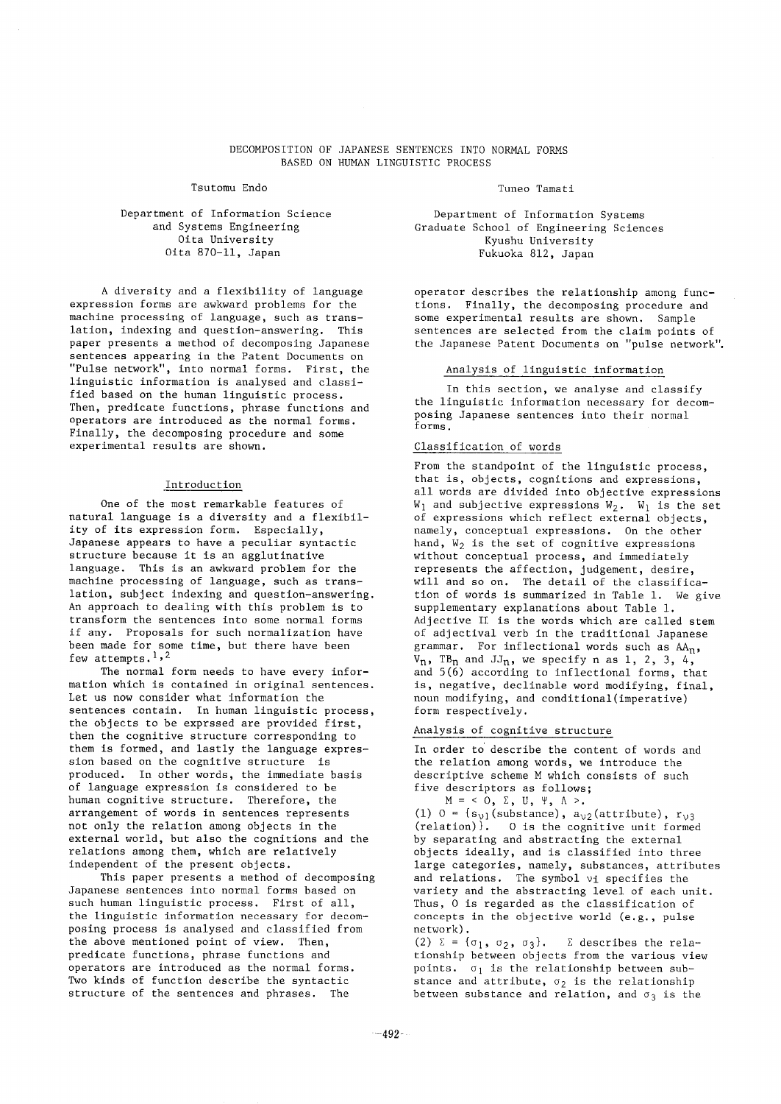# DECOMPOSITION OF JAPANESE SENTENCES INTO NORMAL FORMS BASED ON HUMAN LINGUISTIC PROCESS

Tsutomu Endo Tamati Controller e a Tuneo Tamati

# Department of Information Science and Systems Engineering Oita University Oita 870-11, Japan

A diversity and a flexibility of language expression forms are awkward problems for the machine processing of language, such as translation, indexing and question-answering. This paper presents a method of decomposing Japanese sentences appearing in the Patent Documents on "Pulse network", into normal forms. First, the linguistic information is analysed and classified based on the human linguistic process. Then, predicate functions, phrase functions and operators are introduced as the normal forms. Finally, the decomposing procedure and some experimental results are shown.

#### Introduction

One of the most remarkable features of natural language is a diversity and a flexibility of its expression form. Especially, Japanese appears to have a peculiar syntactic structure because it is an agglutinative language. This is an awkward problem for the machine processing of language, such as translation, subject indexing and question-answering. An approach to dealing with this problem is to transform the sentences into some normal forms if any. Proposals for such normalization have been made for some time, but there have been few attempts.<sup>1,2</sup>

The normal form needs to have every information which is contained in original sentences. Let us now consider what information the sentences contain. In human linguistic process, the objects to be exprssed are provided first, then the cognitive structure corresponding to them is formed, and lastly the language expression based on the cognitive structure is produced. In other words, the immediate basis of language expression is considered to be human cognitive structure. Therefore, the arrangement of words in sentences represents not only the relation among objects in the external world, but also the cognitions and the relations among them, which are relatively independent of the present objects.

This paper presents a method of decomposing Japanese sentences into normal forms based on such human linguistic process. First of all, the linguistic information necessary for decomposing process is analysed and classified from the above mentioned point of view. Then, predicate functions, phrase functions and operators are introduced as the normal forms. Two kinds of function describe the syntactic structure of the sentences and phrases. The

Department of Information Systems Graduate School of Engineering Sciences Kyushu University Fukuoka 812, Japan

operator describes the relationship among functions. Finally, the decomposing procedure and some experimental results are shown. Sample sentences are selected from the claim points of the Japanese Patent Documents on "pulse network".

### Analysis of linguistic information

In this section, we analyse and classify the linguistic information necessary for decomposing Japanese sentences into their normal forms.

# Classification of words

From the standpoint of the linguistic process, that is, objects, cognitions and expressions, all words are divided into objective expressions  $W_1$  and subjective expressions  $W_2$ .  $W_1$  is the set of expressions which reflect external objects, namely, conceptual expressions. On the other hand,  $W_2$  is the set of cognitive expressions without conceptual process, and immediately represents the affection, judgement, desire, will and so on. The detail of the classification of words is summarized in Table 1. We give supplementary explanations about Table 1. Adjective II is the words which are called stem of adjectival verb in the traditional Japanese grammar. For inflectional words such as AAn,  $V_n$ , TB<sub>n</sub> and JJ<sub>n</sub>, we specify n as 1, 2, 3, 4, and 5(6) according to inflectional forms, that is, negative, declinable word modifying, final, noun modifying, and conditional(imperative) form respectively.

# Analysis of cognitive structure

In order to describe the content of words and the relation among words, we introduce the descriptive scheme M which consists of such five descriptors as follows;

 $M = \langle 0, \Sigma, U, \Psi, \Lambda \rangle$ . (1)  $0 = {s_{v1}}(substance)$ ,  $a_{v2}(attribute)$ ,  $r_{v3}$ (relation)}. 0 is the cognitive unit formed by separating and abstracting the external objects ideally, and is classified into three large categories, namely, substances, attributes and relations. The symbol  $v_1$  specifies the variety and the abstracting level of each unit. Thus, 0 is regarded as the classification of concepts in the objective world (e.g., pulse network).

(2)  $\Sigma = {\sigma_1, \sigma_2, \sigma_3}.$   $\Sigma$  describes the relationship between objects from the various view points.  $\sigma_1$  is the relationship between substance and attribute,  $\sigma_2$  is the relationship between substance and relation, and  $\sigma_3$  is the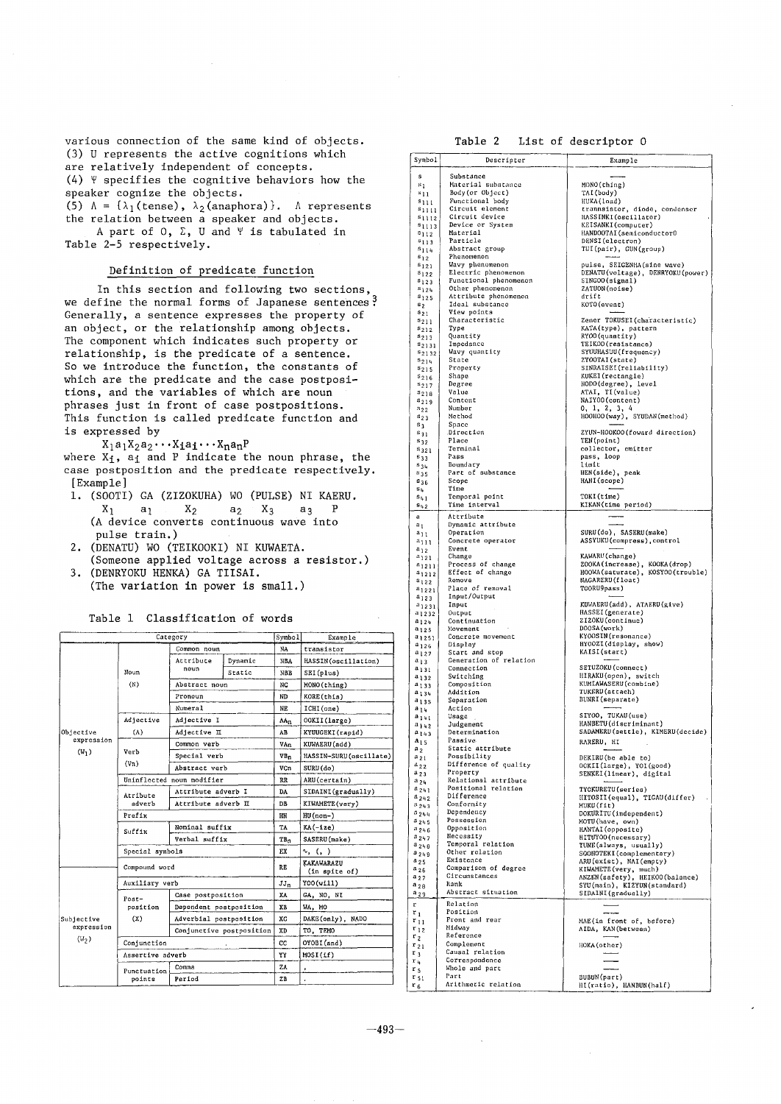**various connection of the same kind of objects. (3) U represents the active cognitions which are relatively independent of concepts. (4) ~ specifies the cognitive behaviors how the speaker cognize the objects. (5)**  $\Lambda = {\lambda_1(\text{tense})}, \lambda_2(\text{anaphora})}.$  A represents

**the relation between a speaker and objects.**   $A$  part of  $0$ ,  $\Sigma$ , U and  $\Psi$  is tabulated in **Table 2-5 respectively.** 

# **Definition of predicate function**

**In this section and following two sections, we define the normal forms of Japanese sentences~ Generally, a sentence expresses the property of an object, or the relationship among objects. The component which indicates such property or relationship, is the predicate of a sentence. So we introduce the function, the constants of which are the predicate and the case postpositions, and the variables of which are noun phrases just in front of case postpositions. This function is called predicate function and is expressed by** 

 $X_1a_1X_2a_2\cdots X_1a_1\cdots X_na_nP$ where X<sub>1</sub>, a<sub>1</sub> and P indicate the noun phrase, the **case postposition and the predicate respectively. [Example]** 

- **I.** (SOOTI) GA (ZIZOKUHA) WO (PULSE) NI KAERU.<br> $X_1$   $a_1$   $X_2$   $a_2$   $X_3$   $a_3$  P **X1 al X2 a2 X3 a3 P (A device converts continuous wave into pulse train.)**
- **2. (DENATU) we (TEIKOOKI) NI KUWAETA.**
- **(Someone applied voltage across a resistor.) 3. (DENRYOKU HENKA) GA TIISAI. (The variation in power is small.)**

**Table i Classification of words** 

|                                 | Category           | Symbol                    | Example |                 |                             |
|---------------------------------|--------------------|---------------------------|---------|-----------------|-----------------------------|
|                                 |                    | Common noun               |         | NA              | transistor                  |
|                                 | Noun               | Attribute                 | Dynamic | <b>NBA</b>      | HASSIN(oscillation)         |
|                                 |                    | noun                      | Static  | <b>NBB</b>      | SEI(plus)                   |
|                                 | (N)                | Abstract noun             |         | NC              | MONO(thing)                 |
|                                 |                    | Pronoun                   |         | ND              | KORE(this)                  |
|                                 |                    | Numeral                   |         | NE              | ICHI(one)                   |
|                                 | Adjective          | Adjective I               |         | AAn             | OOKII(large)                |
| Objective                       | (A)                | Adjective II              |         | AB              | KYUUGEKI (rapid)            |
| expression                      |                    | Common verb               |         | VAn             | KUWAERU (add)               |
| $(W_1)$                         | Verb               | Special verb              |         | VB <sub>n</sub> | HASSIN-SURU(oscillate)      |
|                                 | (V <sub>n</sub> )  | Abstract verb             |         | VCn             | $SURU$ $(do)$               |
|                                 |                    | Uninflected noun modifier | RR      | ARU(certain)    |                             |
|                                 | Atribute<br>adverb | Attribute adverb I        |         | DA              | SIDAINI(gradually)          |
|                                 |                    | Attribute adverb II       |         | DB              | KIWAMETE(very)              |
|                                 | Prefix             |                           |         |                 | $HU$ (non-)                 |
|                                 | Suffix             | Nominal suffix            |         | TA              | KA(-ize)                    |
|                                 |                    | Verbal suffix             |         | $TB_T$          | SASERU(make)                |
|                                 | Special symbols    |                           |         |                 | r. (, )                     |
|                                 |                    | Compound word             |         |                 | KAKAWARAZU<br>(in spite of) |
|                                 | Auxiliary verb     |                           |         | $JJ_n$          | Y00(w111)                   |
|                                 | Post-              | Case postposition         |         | XA              | GA, NO, NI                  |
|                                 | position           | Dependent postposition    |         | XB              | WA, MO                      |
| Subjective                      | (X)                | Adverbial postposition    |         | XC              | DAKE(only), NADO            |
| expression<br>(W <sub>2</sub> ) |                    | Conjunctive postposition  |         | XD              | TO, TEMO                    |
|                                 | Conjunction        |                           |         | CC.             | OYOBI(and)                  |
|                                 | Assertive adverb   |                           |         | YY              | MOSI(1f)                    |
|                                 | Punctuation        | Comma                     |         | ZA              |                             |
|                                 | points             | Period                    |         | ZB              |                             |

# **Table 2 List of descriptor O**

| Symbol             | Descripter                               | Example                          |
|--------------------|------------------------------------------|----------------------------------|
|                    |                                          |                                  |
| s                  | Substance                                |                                  |
| $\mathbf{s}_1$     | Material substance                       | MONO(thing)                      |
| $s_{11}$           | Body (or Object)                         | TAI (body)                       |
| $s_{111}$          | Functional body                          | HUKA(load)                       |
| $s_{1111}$         | Circuit element                          | trannsistor, diode, condenser    |
| $s_{1112}$         | Circuit device                           | HASSINKI(oscillator)             |
| $s_{1113}$         | Device or System                         | KEISANKI(computer)               |
| $s_{112}$          | Material                                 | HANDOOTAI(semiconductor0         |
|                    | Particle                                 |                                  |
| $s_{113}$          |                                          | DENSI(electron)                  |
| $s_{114}$          | Abstract group                           | TUI(pair), GUN(group)            |
| $s_{12}$           | Phenomenon                               |                                  |
| $s_{121}$          | Wavy phenomenon                          | pulse, SEIGENHA (sine wave)      |
| $s_{122}$          | Electric phenomenon                      | DENATU(voltage), DENRYOKU(power) |
| $\mathbf{s}_{123}$ | Functional phenomenon                    | SINGOO(signal)                   |
| $s_{124}$          | Other phenomenon                         | ZATUON(noise)                    |
| $s_{125}$          | Attribute phenomenon                     | drift                            |
| $s_2$              | Ideal substance                          | KOTO (event)                     |
| $s_{21}$           | View points                              |                                  |
| $s_{211}$          | Characteristic                           | Zener TOKUSEI (characteristic)   |
| $s_{212}$          | Type                                     | KATA(type), pattern              |
| $s_{213}$          | Quantity                                 | RYOO(quantity)                   |
| $s_{2131}$         | Impedance                                | TEIKOO(resistance)               |
| s <sub>2132</sub>  | Wavy quantity                            | SYUUHASUU (frequency)            |
| $^{5214}$          | State                                    | ZYOOTAI(state)                   |
| $s_{215}$          | Property                                 | SINRAISEI(reliability)           |
| $s_{216}$          | Shape                                    | KUKEI (rectangle)                |
| 5217               | Degree                                   | HODO(degree), level              |
| $s_{218}$          | Value                                    | ATAI, TI(value)                  |
| $s_{219}$          | Content                                  | NAIYOO(content)                  |
|                    | Number                                   | 0, 1, 2, 3, 4                    |
| $s_{22}$           | Method                                   |                                  |
| $s_{23}$           | Space                                    | HOOHOO(way), SYUDAN(method)      |
| 5 <sub>3</sub>     |                                          |                                  |
| $s_{31}$           | Direction                                | ZYUN-HOOKOO(foward direction)    |
| $s_{32}$           | Place                                    | TEN(point)                       |
| $s_{321}$          | Terminal                                 | collector, emitter               |
| $s_{33}$           | Pass                                     | pass, loop                       |
| $s_{34}$           | Boundary                                 | limit                            |
| $s_{35}$           | Part of substance                        | HEN(side), peak                  |
| $s_{36}$           | Scope                                    | HANI(scope)                      |
| $s_{\rm h}$        | Time                                     |                                  |
| $s_{41}$           | Temporal point                           | TOKI(time)                       |
| $s_{42}$           | Time interval                            | KIKAN(time period)               |
|                    |                                          |                                  |
| a                  | Attribute                                |                                  |
| $a_1$              | Dynamic attribute                        |                                  |
| $a_{11}$           | Operation                                | SURU(do), SASERU(make)           |
| $a_{111}$          | Concrete operator                        | ASSYUKU(compress), control       |
| $a_{12}$           | Event                                    |                                  |
| $a_{121}$          | Change                                   | KAWARU (change)                  |
| $a_{1211}$         | Process of change                        | ZOOKA(increase), KOOKA(drop)     |
| $a_{1212}$         | Effect of change                         | HOOWA(saturate), KOSYOO(trouble) |
| $a_{122}$          | Remove                                   | NAGARERU(float)                  |
| $a_{1221}$         | Place of removal                         | TOORU9pass)                      |
| $a_{123}$          | Input/Output                             |                                  |
| $a_{1231}$         | Input                                    | KUWAERU(add), ATAERU(give)       |
| 21232              | Output                                   | HASSEI (generate)                |
|                    | Continuation                             | ZIZOKU (continue)                |
| $a_{124}$          | Movement                                 | DOOSA(work)                      |
| a <sub>125</sub>   | Concrete movement                        | KY00SIN(resonance)               |
| 31251              | Display                                  | HYOOZI(display, show)            |
| $a_{126}$          |                                          | KAISI(start)                     |
| $a_{127}$          | Start and stop<br>Ceneration of relation |                                  |
| $a_{13}$           |                                          | SETUZOKU (connect )              |
| $a_{131}$          | Connection                               | HIRAKU(open), switch             |
| a <sub>132</sub>   | Switching                                |                                  |
| $a_{133}$          | Composition                              | KUMIAWASERU (combine)            |
| $a_{134}$          | Addition                                 | TUKERU (attach)                  |
| $a_{135}$          | Separation                               | BUNRI (separate)                 |
| $a_{14}$           | Action                                   |                                  |
| $a_{141}$          | Usage                                    | SIYOO, TUKAU(use)                |
| 1142               | Judgement                                | HANBETU (discriminant)           |
| $a_{143}$          | Determination                            | SADAMERU(settle), KIMERU(decide) |
| $a_{15}$           | Passive                                  | RARERU, HI                       |
| $\mathbf{a}_2$     | Static attribute                         |                                  |
| $a_{21}$           | Possibility                              | DEKIRU(be able to)               |
| $a_{22}$           | Difference of quality                    | OOKII(large), YOI(good)          |
| $a_{23}$           | Property                                 | SENKEI(linear), digital          |
| $a_{24}$           | Relational attribute                     |                                  |
| $a_{241}$          | Positional relation                      | TYOKURETU(series)                |
| $a_{242}$          | Difference                               | HITOSII(equal), TIGAU(differ)    |
| $a_{243}$          | Conformity                               | MUKU(fit)                        |
| $a_{244}$          | Dependency                               | DOKURITU (independent)           |
| $a_{245}$          | Possession                               | MOTU(have, own)                  |
|                    | Opposition                               |                                  |
| 3246               | Necessity                                | HANTAI (opposite)                |
| $a_{247}$          | Temporal relation                        | HITUYOO(necessary)               |
| $a_{248}$          | Other relation                           | TUNE(always, usually)            |
| 8249               |                                          | SOOHOTEKI (complementary)        |
| a 25               | Existence                                | ARU(exist), NAI(empty)           |
| $a_{26}$           | Comparison of degree                     | KIWAMETE (very, much)            |
| $a_{27}$           | Circumstances                            | ANZEN(safety), HEIKOO(balance)   |
| $a_{28}$           | Rank                                     | SYU(main), KIZYUN(standard)      |
| $a_{29}$           | Abstract situation                       | SIDAINI(gradually)               |
| r                  | Relation                                 |                                  |
|                    | Position                                 |                                  |
| $\mathfrak{r}_1$   | Front and rear                           | MAE(in front of, before)         |
| $r_{11}$           | Midway                                   |                                  |
| $r_{12}$           | Reference                                | AIDA, KAN(between)               |
| r <sub>2</sub>     |                                          |                                  |
| $\mathbf{r}_{21}$  | Complement                               | HOKA (other)                     |
| r <sub>3</sub>     | Causal relation                          |                                  |
| $\mathbf{r}_{4}$   | Correspondence                           |                                  |
| r <sub>5</sub>     | Whole and part                           |                                  |
| $\mathbf{r}_{51}$  | Part                                     | BUBUN(part)                      |
| $r_{6}$            | Arithmetic relation                      | HI(ratio), HANBUN(half)          |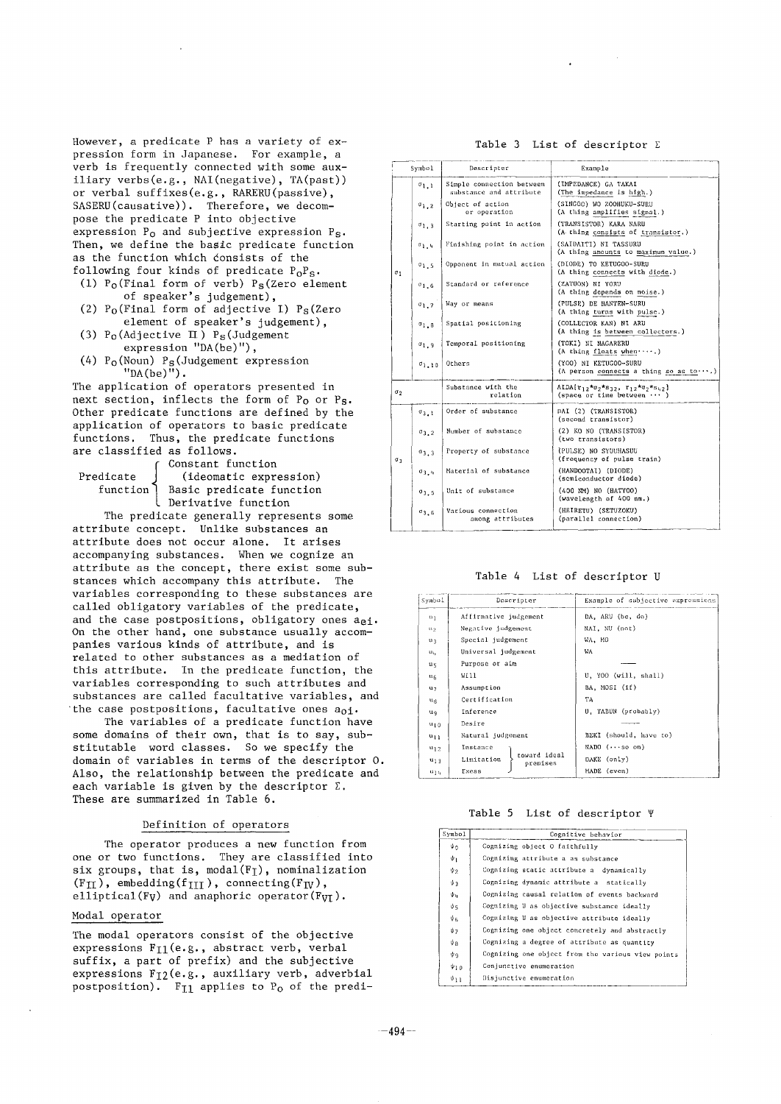**However, a predicate P has a variety of expression form in Japanese. For example, a verb is frequently connected with some auxiliary verbs(e.g., NAl(negative), TA(past)) or verbal suffixes(e.g., RARERU(passive), SASERU(causative)). Therefore, we decompose the predicate P into objective expression Po and subjective expression Ps. Then, we define the basic predicate function as the function which donsists of the**  following four kinds of predicate P<sub>O</sub>P<sub>S</sub>.

- **(i) Po(Final form of verb) Ps(Zero element of speaker's judgement),**
- **(2) Po(Final form of adjective I) Ps(Zero element of speaker's judgement),**
- **(3) Po(Adjective ~) Ps(Judgement expression "DA(be)"),**
- **(4) Po(Noun) Ps(Judgement expression**   $"DA(be)''$ ).

**The application of operators presented in next section, inflects the form of Po or Ps. Other predicate functions are defined by the application of operators to basic predicate functions. Thus, the predicate functions are classified as follows.** 

| Predicate |
|-----------|
| functio   |

**f Constant function**  (ideomatic expression) **function Basic predicate function Derivative function** 

**The predicate generally represents some attribute concept. Unlike substances an attribute does not occur alone. It arises accompanying substances. When we cognize an attribute as the concept, there exist some substances which accompany this attribute. The variables corresponding to these substances are called obligatory variables of the predicate, and the case postpositions, obligatory ones aei. On the other hand, one substance usually accompanies various kinds of attribute, and is related to other substances as a mediation of this attribute. In the predicate function, the variables corresponding to such attributes and substances are called facultative variables, and the case postpositions, facultative ones aoi.** 

**The variables of a predicate function have some domains of their own, that is to say, substitutable word classes. So we specify the domain of variables in terms of the descriptor O. Also, the relationship between the predicate and each variable is given by the descriptor E. These are summarized in Table 6.** 

## **Definition of operators**

**The operator produces a new function from one or two functions. They are classified into**  six groups, that is, modal(F<sub>I</sub>), nominalization  $(F_{II})$ , embedding(f<sub>III</sub>), connecting(F<sub>IV</sub>), elliptical(F<sub>V</sub>) and anaphoric operator(F<sub>VI</sub>).

#### **Modal operator**

**The modal operators consist of the objective expressions Fil(e.g. , abstract verb, verbal suffix, a part of prefix) and the subjective expressions Fi2(e.g. , auxiliary verb, adverbial**  postposition). F<sub>I1</sub> applies to P<sub>0</sub> of the predi-

|                  | Symbol           | Descripter                                           | Example                                                                 |  |  |
|------------------|------------------|------------------------------------------------------|-------------------------------------------------------------------------|--|--|
|                  | $\sigma_{1,1}$   | Simple connection between<br>substance and attribute | (IMPEDANCE) GA TAKAI<br>(The impedance is high.)                        |  |  |
|                  | $\sigma_{1,2}$   | Object of action<br>or operation                     | (SINGOO) WO ZOOHUKU-SURU<br>(A thing amplifies signal.)                 |  |  |
|                  | $\sigma_{1.3}$   | Starting point in action                             | (TRANSISTOR) KARA NARU<br>(A thing consists of transistor.)             |  |  |
|                  | $a_{1,4}$        | Finishing point in action                            | (SAIDAITI) NI TASSURU<br>(A thing amounts to maximum value.)            |  |  |
| $\sigma_1$       | $\sigma_{1.5}$   | Opponent in mutual action                            | (DIODE) TO KETUGOO-SURU<br>(A thing connects with diode.)               |  |  |
|                  | $\sigma$ 1.6     | Standard or reference                                | (ZATUON) NI YORU<br>(A thing depends on noise.)                         |  |  |
|                  | $\sigma_{1,7}$   | Way or means                                         | (PULSE) DE HANTEN-SURU<br>(A thing turns with pulse.)                   |  |  |
|                  | 3.1 <sup>D</sup> | Spatial positioning                                  | (COLLECTOR KAN) NI ARU<br>(A thing is between collectors.)              |  |  |
|                  | $q_{1.9}$        | Temporal positioning                                 | (TOKI) NI NAGARERU<br>(A thing floats when $\cdots$ .)                  |  |  |
|                  | $\sigma_{1.10}$  | Others                                               | (YOO) NI KETUGOO-SURU<br>(A person connects a thing so as $to\cdots$ .) |  |  |
| $\sigma_2$       |                  | Substance with the<br>relation                       | $ALDA{r_1}$ , *02*832, $r_1$ 2*02*842}<br>(space or time between  )     |  |  |
|                  | $\sigma_{3,1}$   | Order of substance                                   | DAI (2) (TRANSISTOR)<br>(second transistor)                             |  |  |
|                  | $\sigma_{3,2}$   | Number of substance                                  | (2) KO NO (TRANSISTOR)<br>(two transistors)                             |  |  |
| $\sigma_{\rm R}$ | 03.3             | Property of substance                                | (PULSE) NO SYUUHASUU<br>(frequency of pulse train)                      |  |  |
|                  | $\sigma_{3,4}$   | Material of substance                                | (HANDOOTAI) (DIODE)<br>(semiconductor diode)                            |  |  |
|                  | $\sigma_3$ , 5   | Unit of substance                                    | (400 NM) NO (HATYOO)<br>(wavelength of 400 nm.)                         |  |  |
|                  | $\sigma_{3.6}$   | Various connection<br>among attributes               | (HEIRETU) (SETUZOKU)<br>(parallel connection)                           |  |  |

**Table 4 List of descriptor U** 

| Symbol           | Descripter                             | Example of subjective expressions |  |  |
|------------------|----------------------------------------|-----------------------------------|--|--|
| u.               | Affirmative judgement                  | DA, ARU (be, do)                  |  |  |
| 0.9              | Negative judgement                     | NAI, NU (not)                     |  |  |
| 0 <sub>3</sub>   | Special judgement                      | WA, MO                            |  |  |
| $\mathbf{u}_h$   | Universal judgement                    | W٨                                |  |  |
| u <sub>5</sub>   | Purpose or aim                         |                                   |  |  |
| $\mathfrak{u}_6$ | Will                                   | U, YOO (will, shall)              |  |  |
| u,               | Assumption                             | BA, MOSI (if)                     |  |  |
| $u_B$            | Certification                          | TΑ                                |  |  |
| uq               | Inference                              | U. TABUN (probably)               |  |  |
| $u_{1,0}$        | Desire                                 |                                   |  |  |
| $u_{11}$         | Natural judgement                      | BEKI (should, have to)            |  |  |
| $u_{12}$         | Instance                               | $NADO$ $( \cdots$ so on)          |  |  |
| $u_{13}$         | toward ideal<br>Limitation<br>premises | DAKE (only)                       |  |  |
| սլդ              | Exess                                  | MADE (even)                       |  |  |

Table **5 List of descriptor** 

| Symbo1     | Cognitive behavior                                |
|------------|---------------------------------------------------|
| Ψn         | Cognizing object O faithfully                     |
| $\psi_1$   | Cognizing attribute a as substance                |
| ゆっ         | Cognizing static attribute a dynamically          |
| ψg         | Cognizing dynamic attribute a statically          |
| Փո         | Cognizing causal relation of events backward      |
| ψs         | Cognizing U as objective substance ideally        |
| ψg.        | Cognizing U as objective attribute ideally        |
| ψ7         | Cognizing one object concretely and abstractly    |
| ψa         | Cognizing a degree of attribute as quantity       |
| $\psi_{9}$ | Cognizing one object from the various view points |
| ψ1ο        | Conjunctive enumeration                           |
| $0_{11}$   | Disjunctive enumeration                           |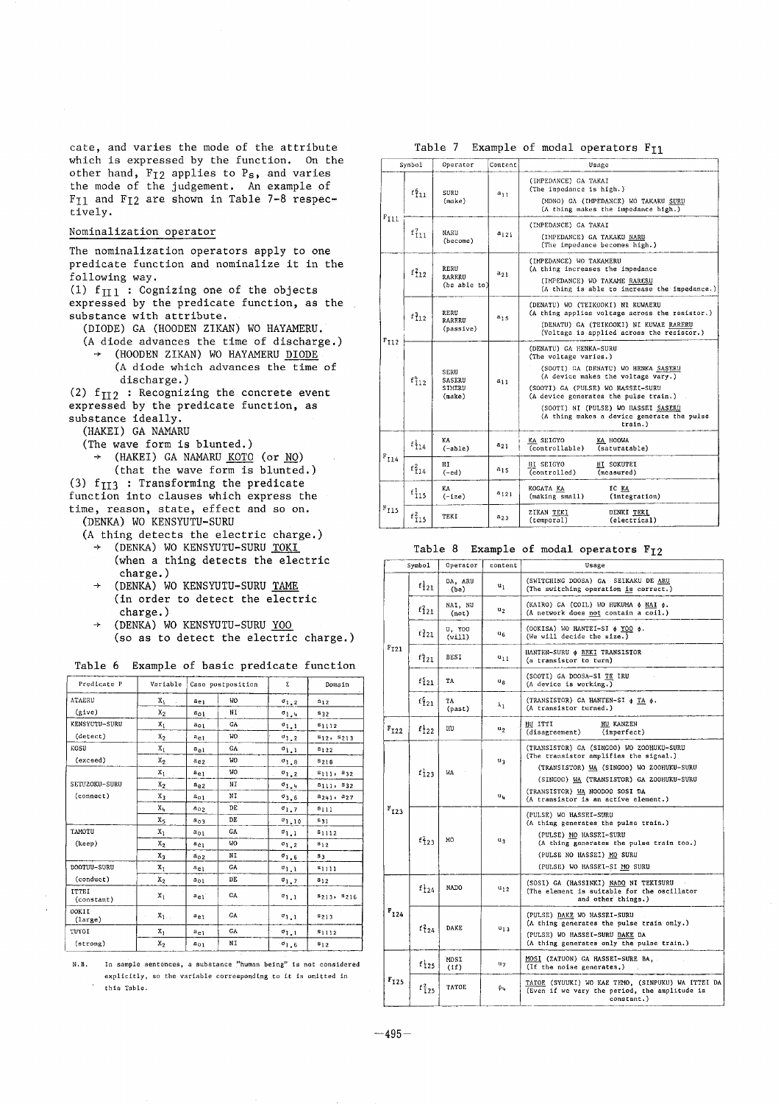**cate, and varies the mode of the attribute which is expressed by the function. On the other hand, FI2 applies to Ps, and varies the mode of the judgement. An example of FII and FI2 are shown in Table 7-8 respectively.** 

### **Nominalization operator**

**The nominalization operators apply to one predicate function and nominalize it in the following way.** 

 $(1)$  f $_{\text{II}}$  : Cognizing one of the objects **expressed by the predicate function, as the substance with attribute.** 

**(DIODE) GA (HOODEN ZIKAN) WO HAYAMERU.** 

- **(A diode advances the time of discharge.) + (HOODEN ZIKAN) WO HAYAMERU DIODE (A diode which advances the time of**
- **discharge.)**  (2) f<sub>II2</sub> : Recognizing the concrete event

**expressed by the predicate function, as substance ideally.** 

**(HAKEI) GA NAMARU** 

**(The wave form is blunted.)** 

**÷ (HAKEI) GA NAMARU KOTO (or NO)** 

**(that the wave form is blunted.)** 

**(3) fII3 : Transforming the predicate** 

- **function into clauses which express the time, reason, state, effect and so on.**
- **(DENKA) WO KENSYUTU-SURU** 
	- **(A thing detects the electric charge.)** 
		- **÷ (DENKA) WO KENSYUTU-SURU TOKI (when a thing detects the electric charge.)**
		- **÷ (DENKA) WO KENSYUTU-SURU TAME (in order to detect the electric charge.)**
		- **÷ (DENKA) WO KENSYUTU-SURU YOU (so as to detect the electric charge.)**

Table 6 Example of basic predicate function

| Predicate P                |                | Variable   Case postposition |           | Σ.                   | Domain               |
|----------------------------|----------------|------------------------------|-----------|----------------------|----------------------|
| ATAERU                     | Xı<br>×        | ae i                         | <b>WO</b> | $\mathfrak{a}_{1,2}$ | $s_{12}$             |
| (xive)                     | x <sub>2</sub> | $a_{01}$                     | NΙ        | $\sigma_{1,4}$       | <b>S32</b>           |
| KENSYUTU-SURU              | $x_1$          | aot                          | GA        | $\sigma_{1,1}$       | $s_{1112}$           |
| (detect)                   | $x_2$          | $a_{e1}$                     | WO.       | $\sigma_{1,2}$       | $s_{12}$ , $s_{213}$ |
| KOSU                       | x,             | $a_{c1}$                     | GA        | $\sigma_{1,1}$       | $s_{122}$            |
| (exceed)                   | $x_{2}$        | $a_{02}$                     | WO        | $\sigma_{1.8}$       | $s_{218}$            |
|                            | $x_1$          | $a_{e1}$                     | V.        | $\sigma_{1,2}$       | $s_{111}, s_{32}$    |
| SETUZOKU-SURU              | x <sub>2</sub> | $a_{e2}$                     | ΝÏ        | $\sigma_{1.4}$       | $s_{111}, s_{32}$    |
| (connect)                  | $x_3$          | $a_{01}$                     | NΙ        | $\sigma_{3,6}$       | $a_{241}$ , $a_{27}$ |
|                            | Xb.            | $a_{02}$                     | DE        | $\sigma_{1,7}$       | $s_{111}$            |
|                            | X5             | $a_{03}$                     | DE        | 01.10                | 531                  |
| TAMOTU                     | X <sub>1</sub> | $a_{01}$                     | GA        | $0_{1,1}$            | 51112                |
| (keep)                     | $\mathbf{x}_2$ | $a_{e1}$                     | <b>WO</b> | $\sigma_{1,2}$       | 812                  |
|                            | $x_3$          | $a_{02}$                     | ΝI        | $\sigma_{1.6}$       | s <sub>3</sub>       |
| DOOTUU-SURU                | X <sub>1</sub> | $a_{e1}$                     | GA        | $\sigma_{1,1}$       | 51111                |
| (conduct)                  | $x_2$          | $a_{01}$                     | DE        | $\sigma_{1,7}$       | 812                  |
| <b>ITTEI</b><br>(constant) | $x_1$          | $a_{e1}$                     | GA        | $\sigma_{1,1}$       | $s_{213}, s_{216}$   |
| OOKII<br>(large)           | $x_1$ .        | $a_{e}$                      | <b>GA</b> | $\sigma_{1,1}$       | $s_{213}$            |
| TUYOI                      | X,             | $a_{e1}$                     | GA        | $\sigma_{1,1}$       | $s_{1112}$           |
| (strong)                   | $\mathbf{x}_2$ | $a_{01}$                     | NI        | $0^{\circ}1$ , 6     | $s_{12}$             |

N,B. In sample sentences, a substance "human being" is not considered explicitly, so the variable corresponding to it is omitted in this Table.

Table 7 Example of modal operators  $F_{11}$ 

|                           | Symbol      | Operator                                         | Content   | Usage                                                                                                                                                                                                                                                                                                      |  |
|---------------------------|-------------|--------------------------------------------------|-----------|------------------------------------------------------------------------------------------------------------------------------------------------------------------------------------------------------------------------------------------------------------------------------------------------------------|--|
|                           | $f_{11}^6$  | SURU<br>(maxe)                                   | $a_{11}$  | (IMPEDANCE) GA TAKAI<br>(The impedance is high.)<br>(MONO) GA (IMPEDANCE) WO TAKAKU SURU<br>(A thing makes the impedance high.)                                                                                                                                                                            |  |
| $F_{I11}$                 | $f_{11}$    | NARU<br>(become)                                 | $a_{121}$ | (IMPEDANCE) GA TAKAI<br>(IMPEDANCE) GA TAKAKU NARU<br>(The impedance becomes high.)                                                                                                                                                                                                                        |  |
|                           | $f_{12}^2$  | RERU<br>RARERU<br>(be able to)                   | $a_{21}$  | (IMPEDANCE) WO TAKAMERU<br>(A thing increases the impedance<br>(IMPEDANCE) WO TAKAME RARERU<br>(A thing is able to increase the impedance.)                                                                                                                                                                |  |
|                           | $f_{12}^3$  | RERU<br>RARERU<br>(passive)                      | $a_{15}$  | (DENATU) WO (TEIKOOKI) NI KUWAERU<br>(A thing applies voltage across the resistor.)<br>(DENATU) GA (TEIKOOKI) NI KUWAE RARERU<br>(Voltage is applied across the resistor.)                                                                                                                                 |  |
| $F_{I12}$                 | $f_{112}^h$ | <b>SERU</b><br>SASERU<br><b>SIMERU</b><br>(make) | $a_{11}$  | (DENATU) GA HENKA-SURU<br>(The voltage varies.)<br>(SOOTI) GA (DENATU) WO HENKA SASERU<br>(A device makes the voltage vary.)<br>(SOOTI) GA (PULSE) WO HASSEI-SURU<br>(A device generates the pulse train.)<br>(SOOTI) NI (PULSE) WO HASSEI SASERU<br>(A thing makes a device generate the pulse<br>train.) |  |
|                           | $f_{114}$   | KA<br>$(-able)$                                  | $a_{21}$  | KA SEIGYO<br>KA HOOWA<br>(controllable)<br>(saturatable)                                                                                                                                                                                                                                                   |  |
| $\mathrm{F}_{\text{I14}}$ | $f_{14}^2$  | HI<br>$(-ed)$                                    | ais       | <b>HI SEIGYO</b><br>HI SOKUTEI<br>(controlled)<br>(measured)                                                                                                                                                                                                                                               |  |
|                           | $f_{115}$   | KA<br>$(-ize)$                                   | $a_{121}$ | KOGATA KA<br>IC KA<br>(making small)<br>(integration)                                                                                                                                                                                                                                                      |  |
| $\mathbb{F}_{\text{I15}}$ | $f_{115}^2$ | TEKI                                             | $a_{23}$  | ZIKAN TEKI<br>DENKI TEKI<br>(temporal)<br>(electrical)                                                                                                                                                                                                                                                     |  |

#### Table 8 Example of modal operators F<sub>I2</sub>

| Symbol    |                   | Operator              | content          | Usage                                                                                                                                                                                             |
|-----------|-------------------|-----------------------|------------------|---------------------------------------------------------------------------------------------------------------------------------------------------------------------------------------------------|
|           | $f_{121}$         | DA, ARU<br>սլ<br>(be) |                  | (SWITCHING DOOSA) GA SEIKAKU DE ARU<br>(The switching operation is correct.)                                                                                                                      |
|           | $f_{121}^2$       | NAI, NU<br>(not)      | u <sub>2</sub>   | (KAIRO) GA (COIL) WO HUKUMA \$ NAI \$.<br>(A network does not contain a coil.)                                                                                                                    |
|           | $f_{121}$         | U. YOO<br>(v111)      | Կճ               | (OOKISA) WO HANTEI-SI \$ YOO \$.<br>(We will decide the size.)                                                                                                                                    |
| $F_{T21}$ | $f_{121}$         | BESI                  | $u_{11}$         | HANTEN-SURU & BEKI TRANSISTOR<br>(a transistor to turn)                                                                                                                                           |
|           | $f_{121}^5$       | TA                    | ug               | (SOOTI) GA DOOSA-SI TE IRU<br>(A device is working.)                                                                                                                                              |
|           | $f_{121}^6$       | TA<br>(past)          | $\lambda_1$      | (TRANSISTOR) CA HANTEN-SI & TA &.<br>(A transistor turned.)                                                                                                                                       |
| $F_{I22}$ | $f_{122}$         | HU                    | u,               | HU ITTI<br>HU KANZEN<br>(imperfect)<br>(disagreement)                                                                                                                                             |
|           | $f_{123}$         | WA                    | u <sub>3</sub>   | (TRANSISTOR) GA (SINGOO) WO ZOOHUKU-SURU<br>(The transistor amplifies the signal.)<br>(TRANSISTOR) WA (SINGOO) WO ZOOHUKU-SURU<br>(SINGOO) WA (TRANSISTOR) GA ZOOHUKU-SURU                        |
|           |                   |                       | $u_{\mathbf{u}}$ | (TRANSISTOR) WA NOODOO SOSI DA<br>(A transistor is an active element.)                                                                                                                            |
| $F_{I23}$ | $f_{23}$          | MO                    | u,               | (PULSE) WO HASSEI-SURU<br>(A thing generates the pulse train.)<br>(PULSE) MO HASSEI-SURU<br>(A thing generates the pulse train too.)<br>(PULSE NO HASSEI) MO SURU<br>(PULSE) WO HASSEI-SI MO SURU |
|           | $f_{24}$          | NADO                  | $u_{12}$         | (SOSI) GA (HASSINKI) NADO NI TEKISURU<br>(The element is suitable for the oscillator<br>and other things.)                                                                                        |
| $F_{124}$ | $f_{124}^2$       | DAKE                  | $u_{13}$         | (PULSE) DAKE WO HASSEI-SURU<br>(A thing generates the pulse train only.)<br>(PULSE) WO HASSEI-SURU DAKE DA<br>(A thing generates only the pulse train.)                                           |
|           | $f$ <sub>25</sub> | MOSI<br>(1f)          | u <sub>7</sub>   | MOSI (ZATUON) GA HASSEI-SURE BA,<br>(If the noise generates,)                                                                                                                                     |
| $F_{125}$ | $f_{I25}^2$       | TATOE                 | ψų.              | TATOE (SYUUKI) WO KAE TEMO, (SINPUKU) WA ITTEI DA<br>(Even if we vary the period, the amplitude is<br>constant.)                                                                                  |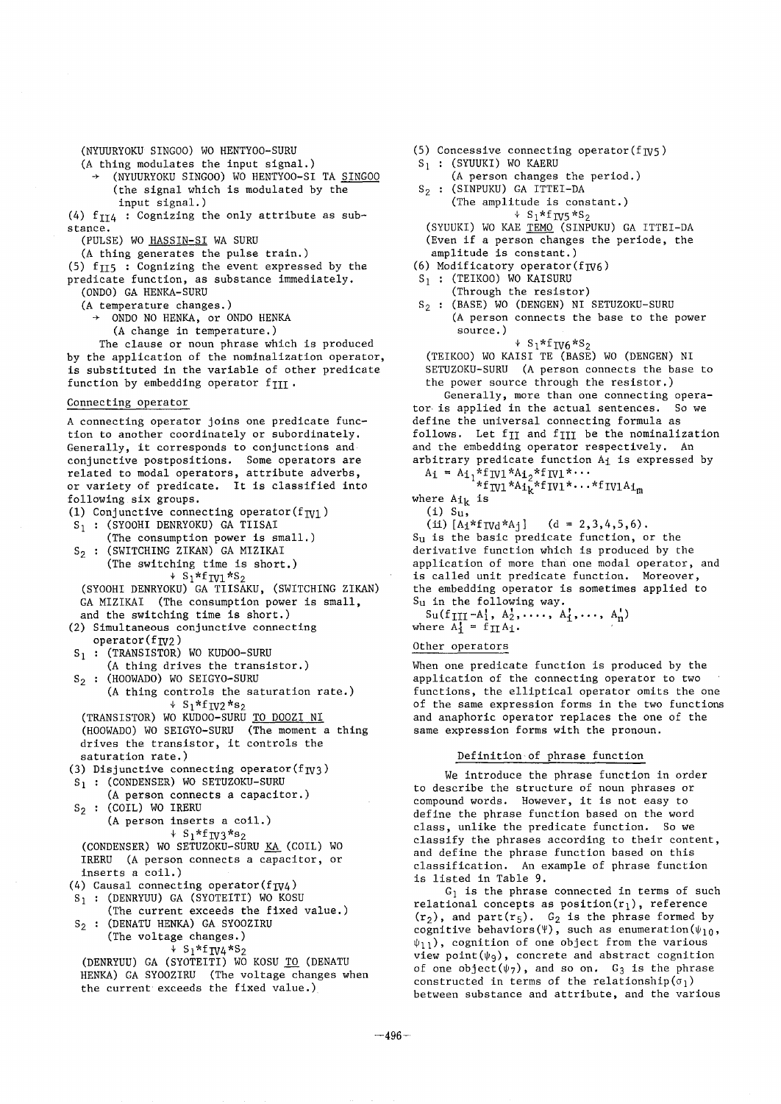(NYUURYOKU SINGO0) WO HENTYOO-SURU

(A thing modulates the input signal.)

- (NYUURYOKU SINGOO) WO HENTYOO-SI TA SINGOO (the signal which is modulated by the input signal.)
- (4)  $f_{II4}$  : Cognizing the only attribute as substance.
	- (PULSE) WO HASSIN-SI WA SURU
	- (A thing generates the pulse train.)
- (5) f $_{\text{II5}}$  : Cognizing the event expressed by the
- predicate function, as substance immediately. (ONDO) GA HENKA-SURU

(A temperature changes.)

- ONDO NO HENKA, or ONDO HENKA
	- (A change in temperature.)

The clause or noun phrase which is produced by the application of the nominalization operator, is substituted in the variable of other predicate function by embedding operator  $f_{\text{III}}$ .

# Connecting operator

A connecting operator joins one predicate function to another coordinately or subordinately. Generally, it corresponds to conjunctions and conjunctive postpositions. Some operators are related to modal operators, attribute adverbs, or variety of predicate. It is classified into following six groups. (1) Conjunctive connecting operator( $f_{\text{IV1}}$ )  $S_1$  : (SYOOHI DENRYOKU) GA TIISAI (The consumption power is small.)  $S_2$  : (SWITCHING ZIKAN) GA MIZIKAI (The switching time is short.)  $\mathsf{s}_1$ \*ITV $1$ \* $\mathsf{s}_2$ (SYOOHI DENRYOKU) GA TIISAKU, (SWITCHING ZIKAN) GA MIZIKAI (The consumption power is small, and the switching time is short.) (2) Simultaneous conjunctive connecting  $operator(f_{\text{TV2}})$  $s_1$  : (TRANSISTOR) WO KUDOO-SURU (A thing drives the transistor.)  $s_2$  : (HOOWADO) WO SEIGYO-SURU (A thing controls the saturation rate.)  $+ S_1 * f_{\text{IV2}} * s_2$ (TRANSISTOR) WO KUDOO-SURU TO DOOZI NI (HOOWADO) WO SEIGYO-SURU (The moment a thing drives the transistor, it controls the saturation rate.) (3) Disjunctive connecting operator( $f_{W3}$ )  $S_1$  : (CONDENSER) WO SETUZOKU-SURU (A person connects a capacitor.)  $S_2$  : (COIL) WO IRERU (A person inserts a coil.)  $+ S_1 * f_{IV3} * s_2$ (CONDENSER) WO SETUZOKU-SURU KA (COIL) WO IRERU (A person connects a capacitor, or inserts a coil.) (4) Causal connecting operator( $f_{\text{IV4}}$ )  $S_1$  : (DENRYUU) GA (SYOTEITI) WO KOSU (The current exceeds the fixed value.) S<sub>2</sub> : (DENATU HENKA) GA SYOOZIRU (The voltage changes.) + SI\*fIV4\*S2 (DENRYUU) GA (SYOTEITI) WO KOSU <u>TO</u> (DENATU HENKA) GA SYOOZIRU (The voltage changes when

the current exceeds the fixed value.)

- $(5)$  Concessive connecting operator( $f_{\text{IV}}$ 5)
- $S_1$  : (SYUUKI) WO KAERU
	- (A person changes the period.)
- $S_2$  : (SINPUKU) GA ITTEI-DA (The amplitude is constant.)
- $+ S_1 * f_{IV5} * S_2$ (SYUUKI) WO KAE TEMO (SINPUKU) GA ITTEI-DA (Even if a person changes the periode, the amplitude is constant.)
- (6) Modificatory operator( $f_{\text{IV6}}$ )
- $S_1$  : (TEIKOO) WO KAISURU
- (Through the resistor)
- S<sub>2</sub> : (BASE) WO (DENGEN) NI SETUZOKU-SURU (A person connects the base to the power source.)

 $+ S_1 * f_{IV6} * S_2$ 

(TEIKO0) WO KAISI TE (BASE) WO (DENGEN) NI SETUZOKU-SURU (A person connects the base to the power source through the resistor.)

Generally, more than one connecting operator is applied in the actual sentences. So we define the universal connecting formula as follows. Let f<sub>II</sub> and f<sub>III</sub> be the nominalization and the embedding operator respectively. An arbitrary predicate function  $A_1$  is expressed by

- $A_i = A_{i_1}^T A_i^T W l^T A_i^T A_i^T W l^T \cdots$
- $\sum_{i=1}^{k}$ i $\sum_{i=1}^{k}$  .  $\sum_{i=1}^{k}$  if  $\sum_{i=1}^{k}$  if  $\sum_{i=1}^{k}$ where  $Ai_k$  is

```
(i) S_{11}
```
(ii)  $[A_1 * f_{\text{IVd}} * A_1]$  (d = 2,3,4,5,6).

Su is the basic predicate function, or the derivative function which is produced by the application of more than one modal operator, and is called unit predicate function. Moreover, the embedding operator is sometimes applied to Su in the following way.

```
\texttt{SultIII-Ai, A2, . . . ., A}, \dots, \texttt{A}_nwhere A^1 = f \prod A^1.
```
# Other operators

When one predicate function is produced by the application of the connecting operator to two functions, the elliptical operator omits the one of the same expression forms in the two functions and anaphoric operator replaces the one of the same expression forms with the pronoun.

## Definition of phrase function

We introduce the phrase function in order to describe the structure of noun phrases or compound words. However, it is not easy to define the phrase function based on the word class, unlike the predicate function. So we classify the phrases according to their content, and define the phrase function based on this classification. An example of phrase function is listed in Table 9.

 $G_1$  is the phrase connected in terms of such relational concepts as position $(r_1)$ , reference  $(r_2)$ , and part( $r_5$ ).  $G_2$  is the phrase formed by cognitive behaviors( $\Psi$ ), such as enumeration( $\psi_{10}$ ,  $\psi_{11}$ ), cognition of one object from the various view point( $\psi$ q), concrete and abstract cognition of one object( $\psi$ 7), and so on. G<sub>3</sub> is the phrase constructed in terms of the relationship( $\sigma_1$ ) between substance and attribute, and the various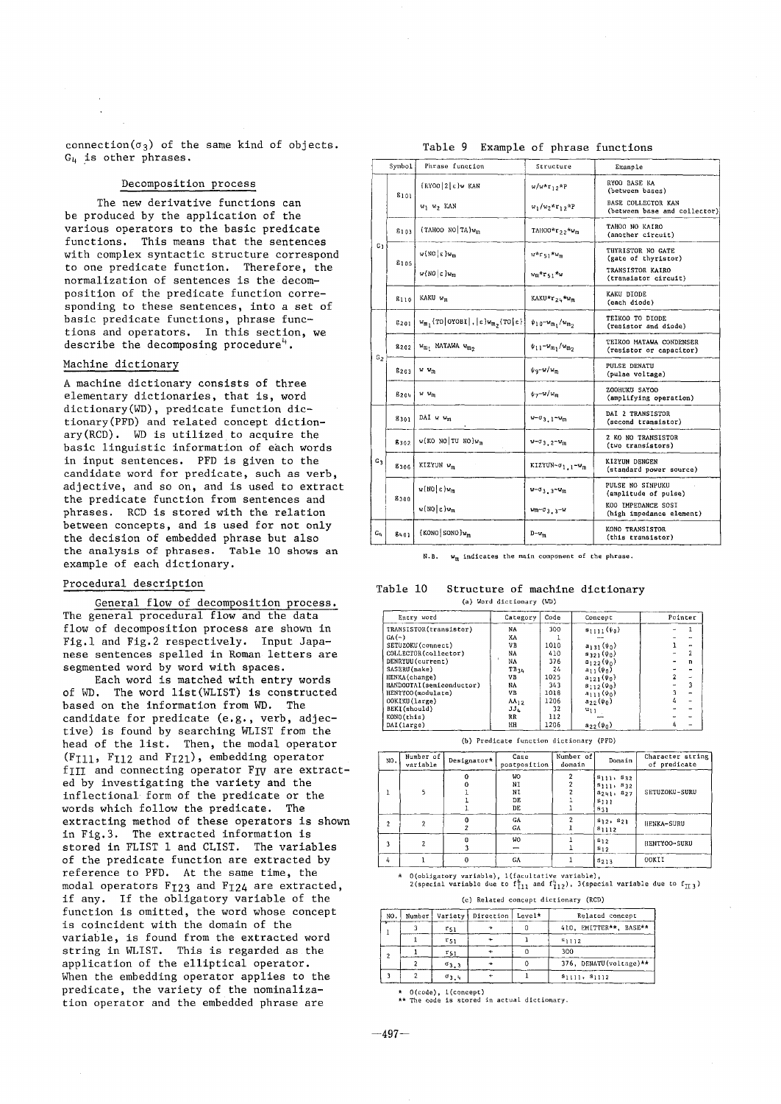connection $(\sigma_3)$  of the same kind of objects.  $G<sub>u</sub>$  is other phrases.

# **Decomposition process**

**The new derivative functions can be produced by the application of the various operators to the basic predicate functions. This means that the sentences with complex syntactic structure correspond to one predicate function. Therefore, the normalization of sentences is the decomposition of the predicate function corresponding to these sentences, into a set of basic predicate functions, phrase functions and operators. In this section, we**  describe the decomposing procedure<sup>4</sup>.

# **Machine dictionary**

**A machine dictionary consists of three elementary dictionaries, that is, word dictionary(WD), predicate function dictionary(PFD) and related concept dictionary(RCD). WD is utilized to acquire the basic linguistic information of each words in input sentences. PFD is given to the candidate word for predicate, such as verb, adjective, and so on, and is used to extract the predicate function from sentences and phrases. RCD is stored with the relation between concepts, and is used for not only the decision of embedded phrase but also the analysis of phrases. Table i0 shows an example of each dictionary.** 

## **Procedural description**

**General flow of decomposition process. The general procedural flow and the data flow of decomposition process are shown in Fig.l and Fig.2 respectively. Input Japanese sentences spelled in Roman letters are segmented word by word with spaces.** 

**Each word is matched with entry words of WD. The word Iist(WLIST) is constructed based on the information from WD. The candidate for predicate (e.g., verb, adjective) is found by searching WLIST from the head of the list. Then, the modal operator**  (F<sub>I11</sub>, F<sub>I12</sub> and F<sub>I21</sub>), embedding operator f<sub>III</sub> and connecting operator F<sub>IV</sub> are extract**ed by investigating the variety and the inflectional form of the predicate or the words which follow the predicate. The extracting method of these operators is shown in Fig.3. The extracted information is stored in FLIST 1 and CLIST. The variables of the predicate function are extracted by reference to PFD. At the same time, the**  modal operators F<sub>I23</sub> and F<sub>I24</sub> are extracted, **if any. If the obligatory variable of the function is omitted, the word whose concept is coincident with the domain of the variable, is found from the extracted word string in WLIST. This is regarded as the application of the elliptical operator. When the embedding operator applies to the predicate, the variety of the nominalization operator and the embedded phrase are** 

|                | Symbol    | Phrase function                                                        | Structure                               | <b>Example</b>                                     |
|----------------|-----------|------------------------------------------------------------------------|-----------------------------------------|----------------------------------------------------|
|                | 8101      | $\frac{1}{2}$ (RYOO $2 \leq x$ ) W KAN                                 | $w/w*r_1$ <sub>2</sub> *P               | RYOO BASE KA<br>(between bases)                    |
|                |           | w <sub>1</sub> w <sub>2</sub> KAN                                      | $w_1/w_2*_{r_12}*P$                     | BASE COLLECTOR KAN<br>(between base and collector) |
|                | 8103      | $(TAHOO NO TA)w_m$                                                     | TAHOO*r <sub>22</sub> *wm               | TAHOO NO KAIRO<br>(another circuit)                |
| G)             | 8105      | $w\{NO  \epsilon\}w_m$                                                 | $W^*$ rsi <sup>*W</sup> m               | THYRISTOR NO GATE<br>(gate of thyristor)           |
|                |           | $w(NO \epsilon)w_m$                                                    | $w_{m}$ *r <sub>51</sub> *w             | TRANSISTOR KAIRO<br>(transistor circuit)           |
|                | 8110      | KAKU w <sub>m</sub>                                                    | KAKU*r <sub>24</sub> *w <sub>m</sub>    | KAKU DIODE<br>(each diode)                         |
|                | 8201      | $w_{m_1}$ {TO OYOBI ,   $\varepsilon$ } $w_{m_2}$ {TO  $\varepsilon$ } | $\psi_{10} - \omega_{m_1}/\omega_{m_2}$ | TEIKOO TO DIODE<br>(resistor and diode)            |
|                | 8202      | $w_m$ , MATAWA $w_m$                                                   | $\psi_{11} - \nu_{m_1}/\nu_{m_2}$       | TEIKOO MATAWA CONDENSER<br>(resistor or capacitor) |
| G 2            | 8203      | $w w_m$                                                                | $\psi$ q-W/W <sub>m</sub>               | PULSE DENATU<br>(pulse voltage)                    |
|                | $g_{20h}$ | $w w_m$                                                                | $\psi_2-w/w_m$                          | ZOOHUKU SAYOO<br>(amplifying operation)            |
| 8301           |           | DAI w wm                                                               | $w - \sigma_{3,1} - \omega_{m}$         | DAI 2 TRANSISTOR<br>(second transistor)            |
|                | 8302      | $w(KO NO   TU NO)w_m$                                                  | $w - 03.2 - w_m$                        | <b>2 KO NO TRANSISTOR</b><br>(two transistors)     |
| G <sub>3</sub> | 8306      | KIZYUN w <sub>m</sub>                                                  | KIZYUN- $\sigma_{1,1}$ -w <sub>m</sub>  | KIZYUN DENGEN<br>(standard power source)           |
|                | 8308      | $w(NO  \epsilon) w_m$                                                  | $w - \sigma_3 - \sigma_0$               | PULSE NO SINPUKU<br>(amplitude of pulse)           |
|                |           | $w(N0 \epsilon)w_m$                                                    | wm-d3.3-W                               | KOO IMPEDANCE SOSI<br>(high impedance element)     |
| $G_{4}$        | 8401      | $(KONO SONO)$ <sub>m</sub>                                             | $D-w_m$                                 | KONO TRANSISTOR<br>(this transistor)               |

### **Table 9 Example of phrase functions**

N.B. w<sub>m</sub> indicates the main component of the phrase.

**Table I0 Structure of machine dictionary**  (a) **Word dictionary** (l~'O)

| Entry word               | Category        | Code | Concept                 | Pointer        |
|--------------------------|-----------------|------|-------------------------|----------------|
| TRANSISTOR(transistor)   | NA              | 300  | $s_{1111}$ ( $\psi_0$ ) |                |
| $G_A(-)$                 | XA              |      |                         |                |
| SETUZOKU (connect)       | VB              | 1010 | $a_{131}$ ( $\psi_0$ )  |                |
| COLLECTOR(collector)     | NA              | 410  | $s_{321}(\psi_0)$       |                |
| DENRYUU (current)        | NA              | 376  | $s_{122}(\psi_0)$       |                |
| SASERU(make)             | TB34            | 24   | $a_{11}(\psi_0)$        |                |
| HENKA (change)           | VB              | 1025 | $a_{121}(\psi_0)$       | $\overline{a}$ |
| RANDOOTAI(semiconductor) | NA              | 343  | $s_{112}(\psi_0)$       | 3              |
| HENTYOO (modulate)       | VB              | 1018 | $a_{111}(\psi_0)$       |                |
| OOKIKU(large)            | $AA_{12}$       | 1206 | $a_{22}(\psi_0)$        |                |
| BEKI(should)             | JJ <sub>L</sub> | 32   | $u_{11}$                |                |
| KONO(this)               | RR              | 112  |                         |                |
| DAI(large)               | RН              | 1206 | $a_{22}(\psi_0)$        |                |

(b) **Predicate function dictionary** (PFD)

| NO. | Number of<br>variable | Designator* | Case<br>postposition               | Number of<br>domain | Domain                                                                             | Character string<br>of predicate |
|-----|-----------------------|-------------|------------------------------------|---------------------|------------------------------------------------------------------------------------|----------------------------------|
|     |                       |             | <b>WO</b><br>NI<br>ΝI<br>DE.<br>DE |                     | $s_{111}, s_{32}$<br>$s_{111}, s_{32}$<br>$a_{2+1}$ , $a_{27}$<br>S111<br>$s_{31}$ | SETUZOKU-SURU                    |
|     |                       |             | GA<br>GA                           |                     | $s_{12}$ , $s_{21}$<br>$s_{1112}$                                                  | HENKA-SURU                       |
|     |                       |             | WO.                                |                     | $s_{12}$<br>$s_{12}$                                                               | HENTYOO-SURU                     |
|     |                       |             | GA                                 |                     | $s_{213}$                                                                          | OOKII                            |

**0(obligatory variable),** l(facultative variable),<br>2(special variable due to f<sup>6</sup>11 and f<sup>1</sup>12), 3(special variable due to f<sub>173</sub>)

(c) **Related concept dictionary** (RCD)

| NO. |                | Number   Variety   Direction   Level* | Related concept         |  |
|-----|----------------|---------------------------------------|-------------------------|--|
|     | $r_{51}$       |                                       | 410, EMITTER**, BASE**  |  |
|     | $r_{51}$       |                                       | $s_{1112}$              |  |
|     | $r_{51}$       |                                       | 300                     |  |
|     | $\sigma_{3,3}$ |                                       | 376, DENATU (voltage)** |  |
|     | 03.4           |                                       | $s_{1111}, s_{1112}$    |  |

\* 0(code), **l(concept) \*\* The code is stored in actual dictionary.** 

**--497--**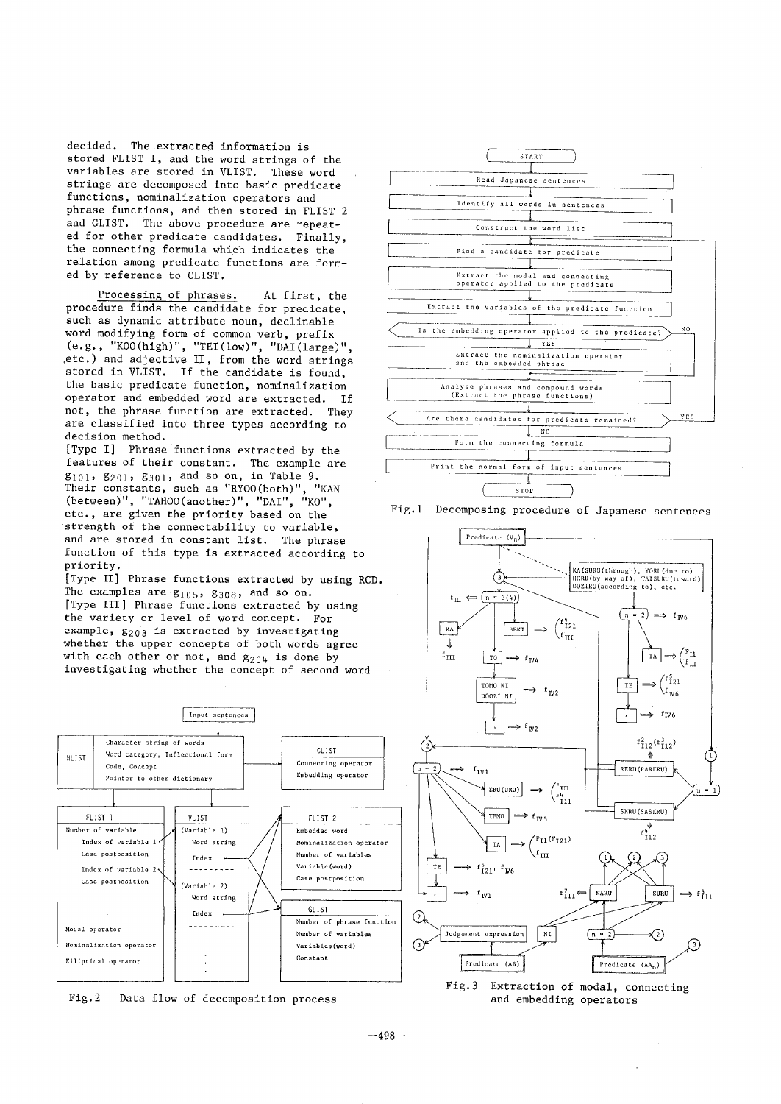**decided. The extracted information is stored FLIST I, and the word strings of the variables are stored in VLIST. These word strings are decomposed into basic predicate functions, nominalization operators and phrase functions, and then stored in FLIST 2 and GLIST. The above procedure are repeated for other predicate candidates. Finally, the connecting formula which indicates the relation among predicate functions are formed by reference to CLIST.** 

**Processing of phrases. At first, the procedure finds the candidate for predicate, such as dynamic attribute noun, declinable word modifying form of common verb, prefix (e.g., "KOO(high)", "TEl(low)", "DAl(large)", ,etc.) and adjective II, from the word strings stored in VLIST. If the candidate is found, the basic predicate function, nominalization operator and embedded word are extracted. If not, the phrase function are extracted. They are classified into three types according to decision method.** 

**[Type I] Phrase functions extracted by the features of their constant. The example are gl01, g201, g301, and so on, in Table 9.**  Their constants, such as "RY00(both)", "KAN (between)", "TAHOO(another)", "DAI", "KO", **etc., are given the priority based on the strength of the connectability to variable, and are stored in constant list. The phrase function of this type is extracted according to priority.** 

**[Type II] Phrase functions extracted by using RCD. The examples are g105, g308, and so on. [Type III] Phrase functions extracted by using the variety or level of word concept. For**  example,  $g_{203}$  is extracted by investigating **whether the upper concepts of both words agree**  with each other or not, and  $g_{204}$  is done by **investigating whether the concept of second word** 



**Fig.2 Data flow of decomposition process** 



**Fig.l Decomposing procedure of Japanese sentences** 



**and embedding operators**